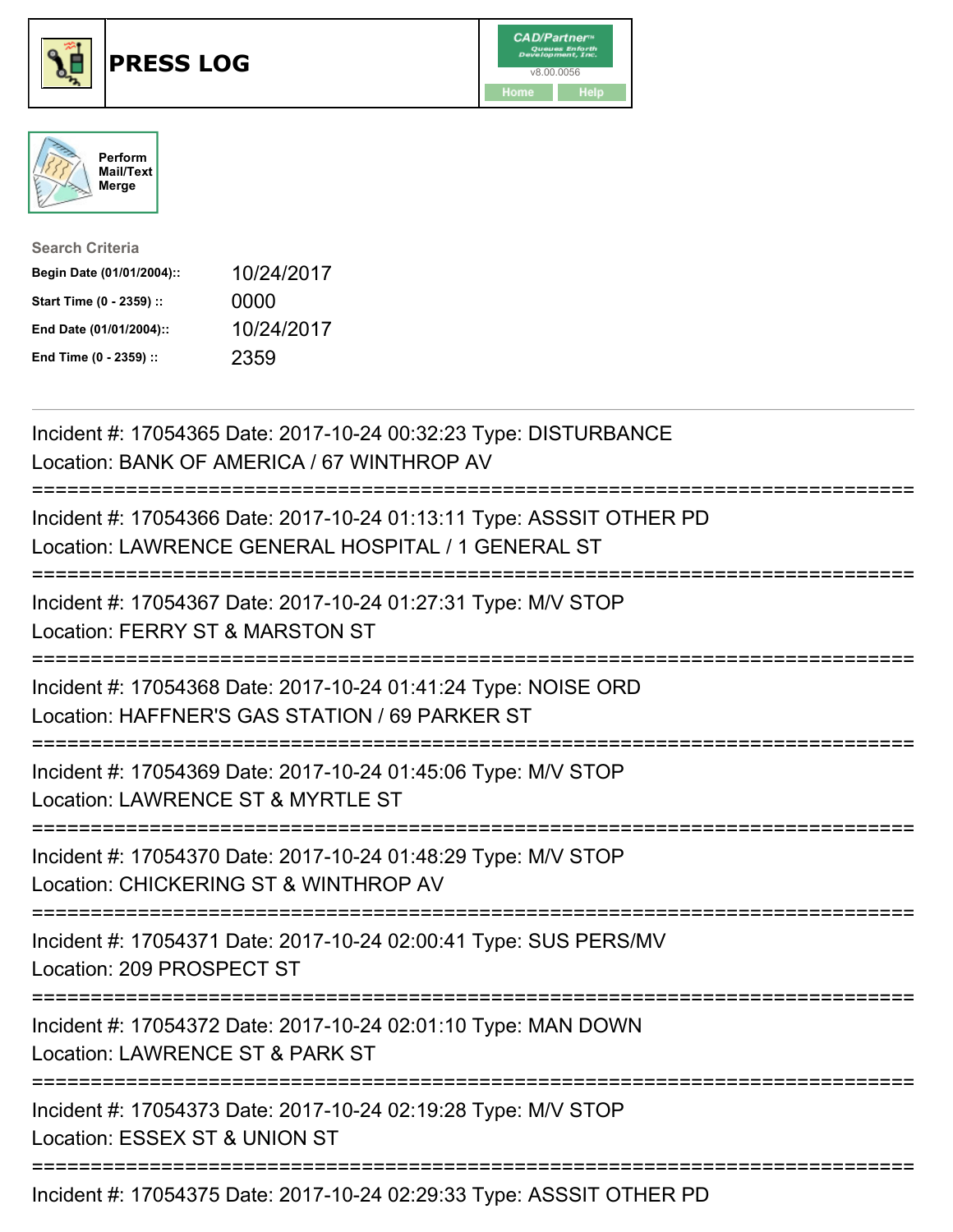





| <b>Search Criteria</b>    |            |
|---------------------------|------------|
| Begin Date (01/01/2004):: | 10/24/2017 |
| Start Time (0 - 2359) ::  | 0000       |
| End Date (01/01/2004)::   | 10/24/2017 |
| End Time (0 - 2359) ::    | 2359       |

| Incident #: 17054365 Date: 2017-10-24 00:32:23 Type: DISTURBANCE<br>Location: BANK OF AMERICA / 67 WINTHROP AV                   |
|----------------------------------------------------------------------------------------------------------------------------------|
| Incident #: 17054366 Date: 2017-10-24 01:13:11 Type: ASSSIT OTHER PD<br>Location: LAWRENCE GENERAL HOSPITAL / 1 GENERAL ST       |
| Incident #: 17054367 Date: 2017-10-24 01:27:31 Type: M/V STOP<br>Location: FERRY ST & MARSTON ST                                 |
| Incident #: 17054368 Date: 2017-10-24 01:41:24 Type: NOISE ORD<br>Location: HAFFNER'S GAS STATION / 69 PARKER ST                 |
| Incident #: 17054369 Date: 2017-10-24 01:45:06 Type: M/V STOP<br>Location: LAWRENCE ST & MYRTLE ST                               |
| Incident #: 17054370 Date: 2017-10-24 01:48:29 Type: M/V STOP<br>Location: CHICKERING ST & WINTHROP AV<br>====================== |
| Incident #: 17054371 Date: 2017-10-24 02:00:41 Type: SUS PERS/MV<br>Location: 209 PROSPECT ST                                    |
| Incident #: 17054372 Date: 2017-10-24 02:01:10 Type: MAN DOWN<br>Location: LAWRENCE ST & PARK ST<br>==========================   |
| Incident #: 17054373 Date: 2017-10-24 02:19:28 Type: M/V STOP<br>Location: ESSEX ST & UNION ST                                   |
| Incident #: 17054375 Date: 2017-10-24 02:29:33 Type: ASSSIT OTHER PD                                                             |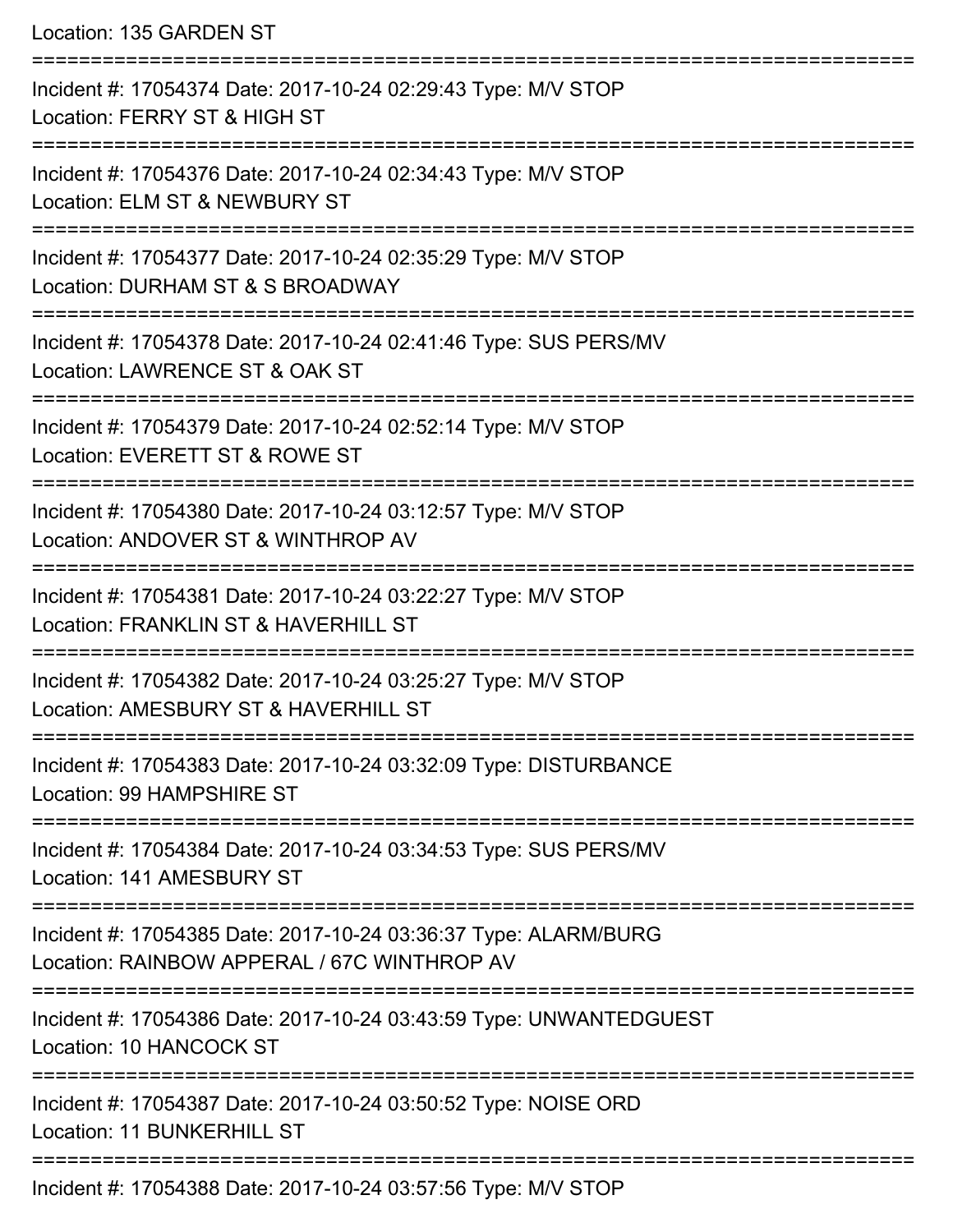Location: 135 GARDEN ST

| Incident #: 17054374 Date: 2017-10-24 02:29:43 Type: M/V STOP<br>Location: FERRY ST & HIGH ST                  |
|----------------------------------------------------------------------------------------------------------------|
| Incident #: 17054376 Date: 2017-10-24 02:34:43 Type: M/V STOP<br>Location: ELM ST & NEWBURY ST                 |
| Incident #: 17054377 Date: 2017-10-24 02:35:29 Type: M/V STOP<br>Location: DURHAM ST & S BROADWAY              |
| Incident #: 17054378 Date: 2017-10-24 02:41:46 Type: SUS PERS/MV<br>Location: LAWRENCE ST & OAK ST             |
| Incident #: 17054379 Date: 2017-10-24 02:52:14 Type: M/V STOP<br>Location: EVERETT ST & ROWE ST                |
| Incident #: 17054380 Date: 2017-10-24 03:12:57 Type: M/V STOP<br>Location: ANDOVER ST & WINTHROP AV            |
| Incident #: 17054381 Date: 2017-10-24 03:22:27 Type: M/V STOP<br>Location: FRANKLIN ST & HAVERHILL ST          |
| Incident #: 17054382 Date: 2017-10-24 03:25:27 Type: M/V STOP<br>Location: AMESBURY ST & HAVERHILL ST          |
| Incident #: 17054383 Date: 2017-10-24 03:32:09 Type: DISTURBANCE<br>Location: 99 HAMPSHIRE ST                  |
| Incident #: 17054384 Date: 2017-10-24 03:34:53 Type: SUS PERS/MV<br>Location: 141 AMESBURY ST                  |
| Incident #: 17054385 Date: 2017-10-24 03:36:37 Type: ALARM/BURG<br>Location: RAINBOW APPERAL / 67C WINTHROP AV |
| Incident #: 17054386 Date: 2017-10-24 03:43:59 Type: UNWANTEDGUEST<br>Location: 10 HANCOCK ST                  |
| Incident #: 17054387 Date: 2017-10-24 03:50:52 Type: NOISE ORD<br>Location: 11 BUNKERHILL ST                   |
| Incident #: 17054388 Date: 2017-10-24 03:57:56 Type: M/V STOP                                                  |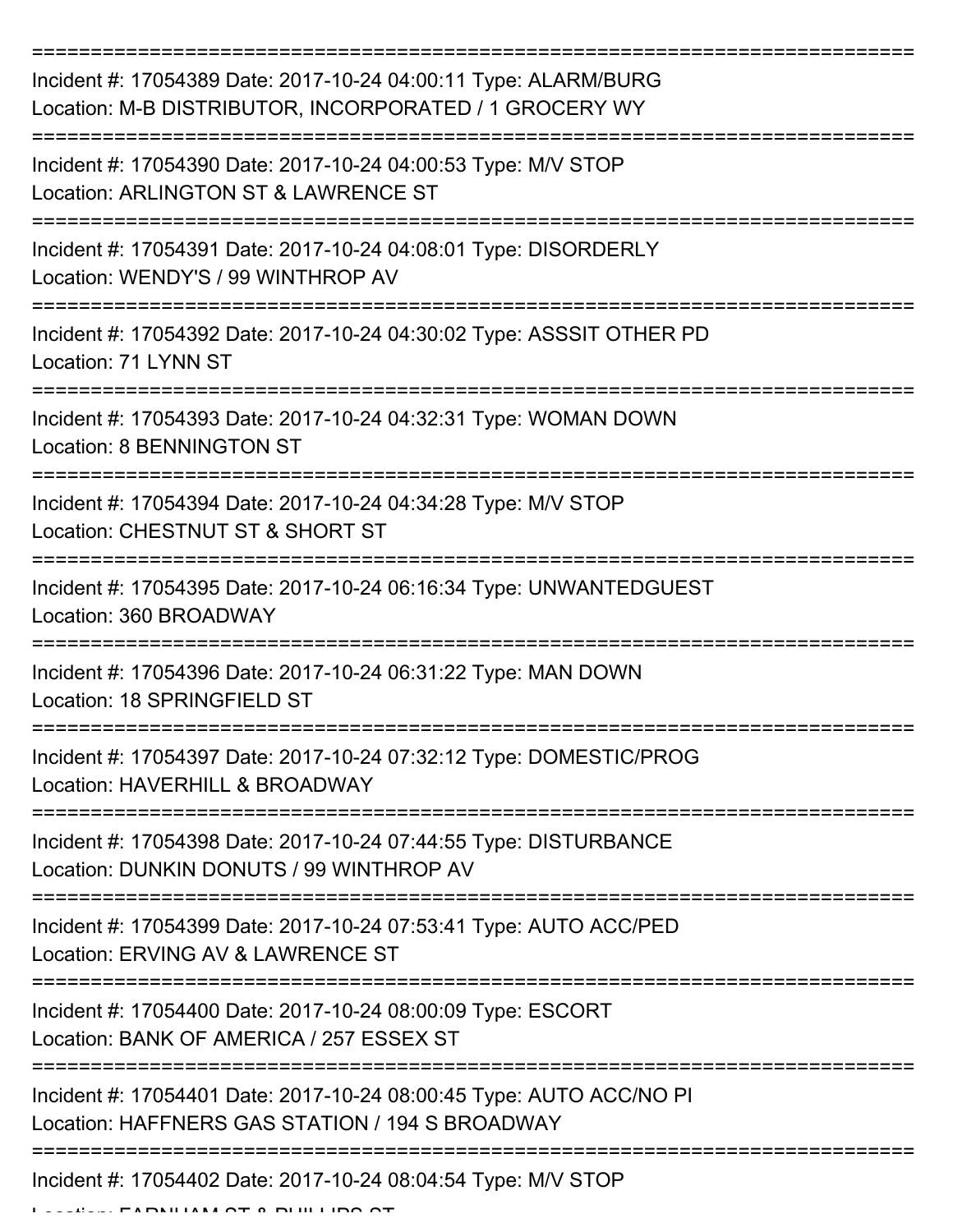| Incident #: 17054389 Date: 2017-10-24 04:00:11 Type: ALARM/BURG<br>Location: M-B DISTRIBUTOR, INCORPORATED / 1 GROCERY WY                   |
|---------------------------------------------------------------------------------------------------------------------------------------------|
| Incident #: 17054390 Date: 2017-10-24 04:00:53 Type: M/V STOP<br>Location: ARLINGTON ST & LAWRENCE ST                                       |
| Incident #: 17054391 Date: 2017-10-24 04:08:01 Type: DISORDERLY<br>Location: WENDY'S / 99 WINTHROP AV                                       |
| Incident #: 17054392 Date: 2017-10-24 04:30:02 Type: ASSSIT OTHER PD<br>Location: 71 LYNN ST                                                |
| Incident #: 17054393 Date: 2017-10-24 04:32:31 Type: WOMAN DOWN<br><b>Location: 8 BENNINGTON ST</b><br>:=================================== |
| Incident #: 17054394 Date: 2017-10-24 04:34:28 Type: M/V STOP<br>Location: CHESTNUT ST & SHORT ST                                           |
| Incident #: 17054395 Date: 2017-10-24 06:16:34 Type: UNWANTEDGUEST<br>Location: 360 BROADWAY                                                |
| Incident #: 17054396 Date: 2017-10-24 06:31:22 Type: MAN DOWN<br>Location: 18 SPRINGFIELD ST                                                |
| Incident #: 17054397 Date: 2017-10-24 07:32:12 Type: DOMESTIC/PROG<br>Location: HAVERHILL & BROADWAY                                        |
| Incident #: 17054398 Date: 2017-10-24 07:44:55 Type: DISTURBANCE<br>Location: DUNKIN DONUTS / 99 WINTHROP AV                                |
| Incident #: 17054399 Date: 2017-10-24 07:53:41 Type: AUTO ACC/PED<br>Location: ERVING AV & LAWRENCE ST                                      |
| Incident #: 17054400 Date: 2017-10-24 08:00:09 Type: ESCORT<br>Location: BANK OF AMERICA / 257 ESSEX ST                                     |
| Incident #: 17054401 Date: 2017-10-24 08:00:45 Type: AUTO ACC/NO PI<br>Location: HAFFNERS GAS STATION / 194 S BROADWAY                      |
| ----------------------------<br>Incident #: 17054402 Date: 2017-10-24 08:04:54 Type: M/V STOP<br><b>FADAILIAM OT A DILILIDO C</b>           |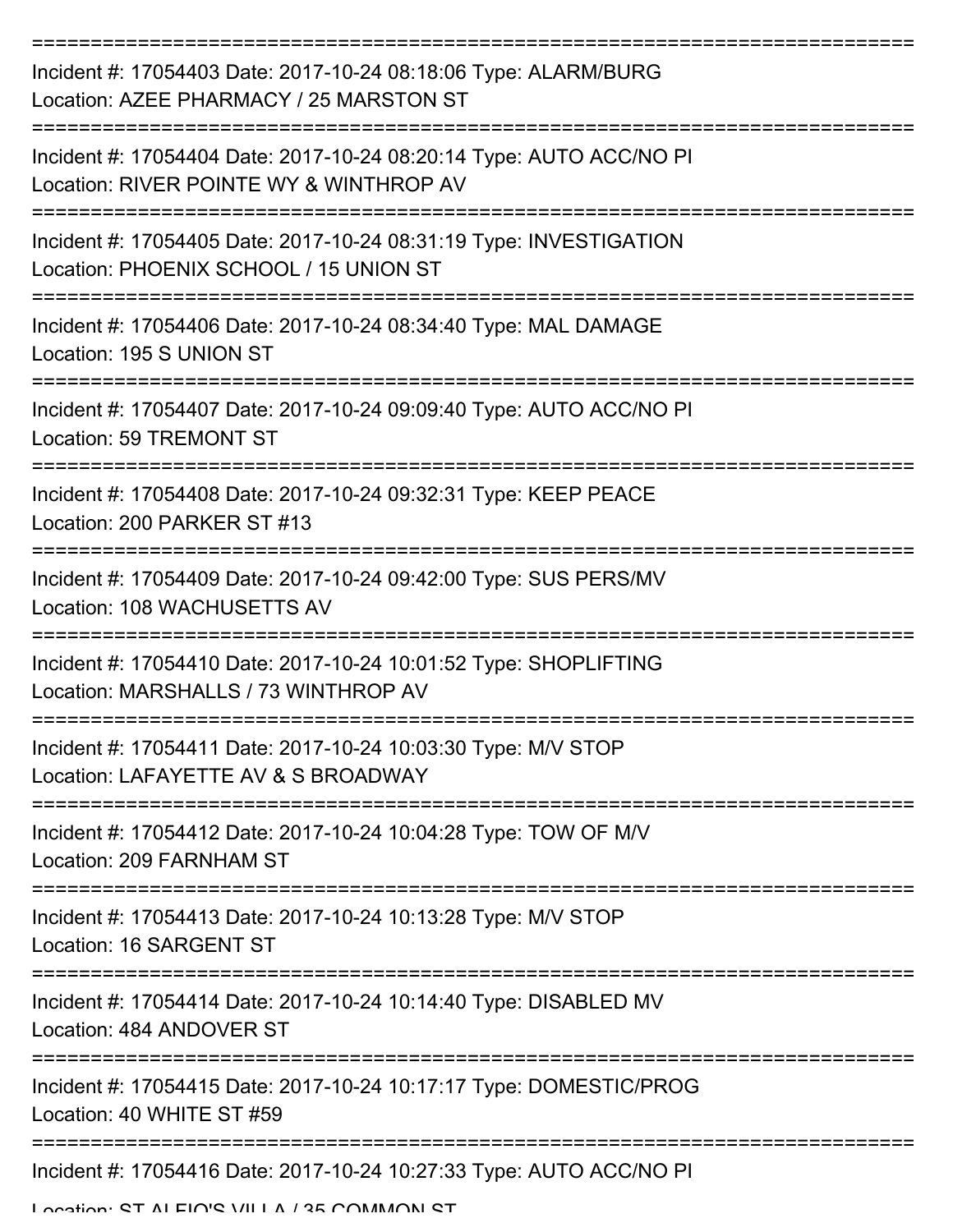| Incident #: 17054403 Date: 2017-10-24 08:18:06 Type: ALARM/BURG<br>Location: AZEE PHARMACY / 25 MARSTON ST     |
|----------------------------------------------------------------------------------------------------------------|
| Incident #: 17054404 Date: 2017-10-24 08:20:14 Type: AUTO ACC/NO PI<br>Location: RIVER POINTE WY & WINTHROP AV |
| Incident #: 17054405 Date: 2017-10-24 08:31:19 Type: INVESTIGATION<br>Location: PHOENIX SCHOOL / 15 UNION ST   |
| Incident #: 17054406 Date: 2017-10-24 08:34:40 Type: MAL DAMAGE<br>Location: 195 S UNION ST                    |
| Incident #: 17054407 Date: 2017-10-24 09:09:40 Type: AUTO ACC/NO PI<br>Location: 59 TREMONT ST                 |
| Incident #: 17054408 Date: 2017-10-24 09:32:31 Type: KEEP PEACE<br>Location: 200 PARKER ST #13                 |
| Incident #: 17054409 Date: 2017-10-24 09:42:00 Type: SUS PERS/MV<br>Location: 108 WACHUSETTS AV                |
| Incident #: 17054410 Date: 2017-10-24 10:01:52 Type: SHOPLIFTING<br>Location: MARSHALLS / 73 WINTHROP AV       |
| Incident #: 17054411 Date: 2017-10-24 10:03:30 Type: M/V STOP<br>Location: LAFAYETTE AV & S BROADWAY           |
| Incident #: 17054412 Date: 2017-10-24 10:04:28 Type: TOW OF M/V<br>Location: 209 FARNHAM ST                    |
| Incident #: 17054413 Date: 2017-10-24 10:13:28 Type: M/V STOP<br>Location: 16 SARGENT ST                       |
| Incident #: 17054414 Date: 2017-10-24 10:14:40 Type: DISABLED MV<br>Location: 484 ANDOVER ST                   |
| Incident #: 17054415 Date: 2017-10-24 10:17:17 Type: DOMESTIC/PROG<br>Location: 40 WHITE ST #59                |
| Incident #: 17054416 Date: 2017-10-24 10:27:33 Type: AUTO ACC/NO PI                                            |

Location: CT ALEIO'S VILLA / 25 COMMON ST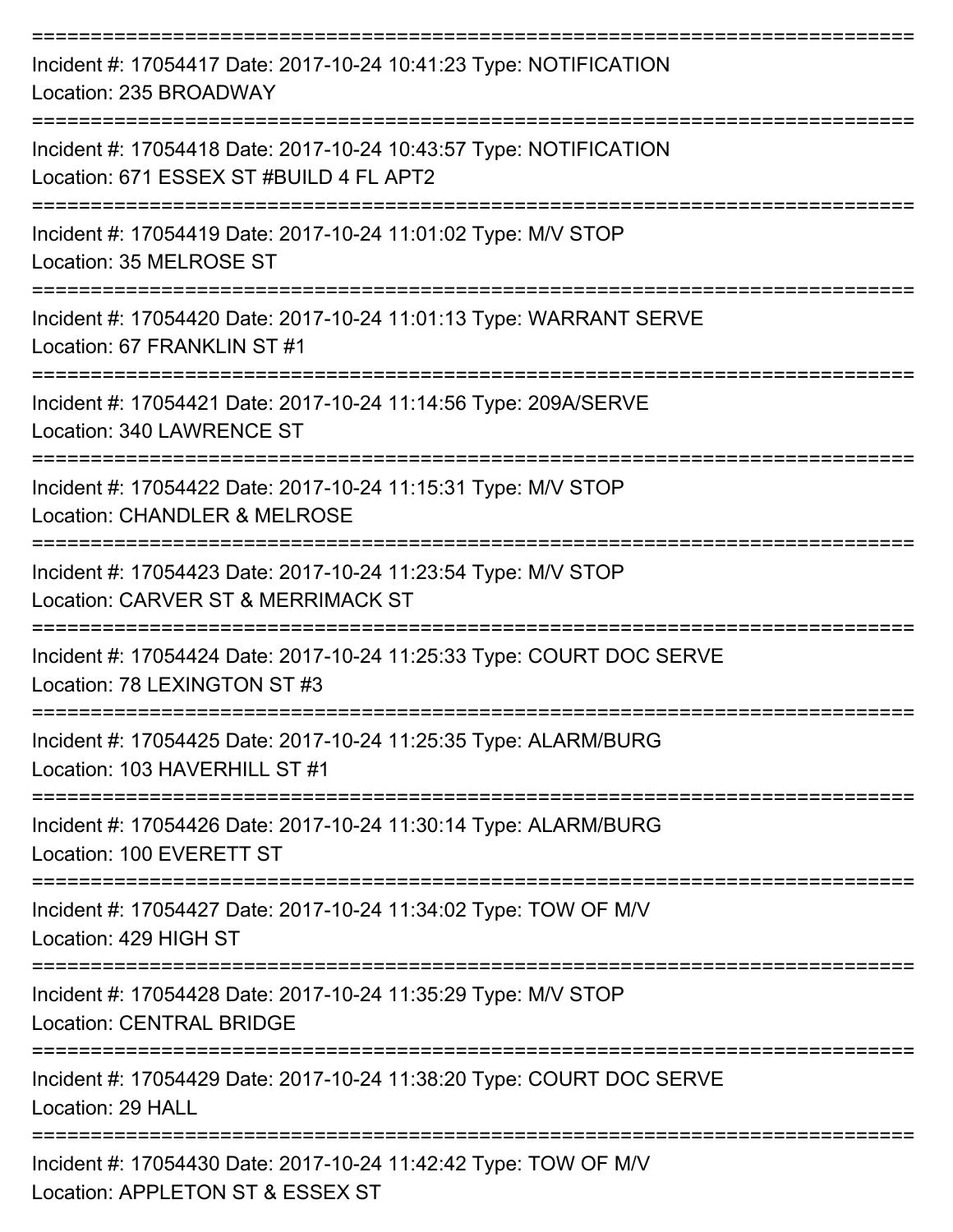| Incident #: 17054417 Date: 2017-10-24 10:41:23 Type: NOTIFICATION<br>Location: 235 BROADWAY                              |
|--------------------------------------------------------------------------------------------------------------------------|
| Incident #: 17054418 Date: 2017-10-24 10:43:57 Type: NOTIFICATION<br>Location: 671 ESSEX ST #BUILD 4 FL APT2             |
| Incident #: 17054419 Date: 2017-10-24 11:01:02 Type: M/V STOP<br>Location: 35 MELROSE ST                                 |
| Incident #: 17054420 Date: 2017-10-24 11:01:13 Type: WARRANT SERVE<br>Location: 67 FRANKLIN ST #1<br>=================== |
| Incident #: 17054421 Date: 2017-10-24 11:14:56 Type: 209A/SERVE<br>Location: 340 LAWRENCE ST                             |
| Incident #: 17054422 Date: 2017-10-24 11:15:31 Type: M/V STOP<br>Location: CHANDLER & MELROSE                            |
| Incident #: 17054423 Date: 2017-10-24 11:23:54 Type: M/V STOP<br>Location: CARVER ST & MERRIMACK ST                      |
| Incident #: 17054424 Date: 2017-10-24 11:25:33 Type: COURT DOC SERVE<br>Location: 78 LEXINGTON ST #3                     |
| Incident #: 17054425 Date: 2017-10-24 11:25:35 Type: ALARM/BURG<br>Location: 103 HAVERHILL ST #1                         |
| Incident #: 17054426 Date: 2017-10-24 11:30:14 Type: ALARM/BURG<br>Location: 100 EVERETT ST                              |
| Incident #: 17054427 Date: 2017-10-24 11:34:02 Type: TOW OF M/V<br>Location: 429 HIGH ST                                 |
| Incident #: 17054428 Date: 2017-10-24 11:35:29 Type: M/V STOP<br><b>Location: CENTRAL BRIDGE</b>                         |
| Incident #: 17054429 Date: 2017-10-24 11:38:20 Type: COURT DOC SERVE<br>Location: 29 HALL                                |
| Incident #: 17054430 Date: 2017-10-24 11:42:42 Type: TOW OF M/V<br>Location: APPLETON ST & ESSEX ST                      |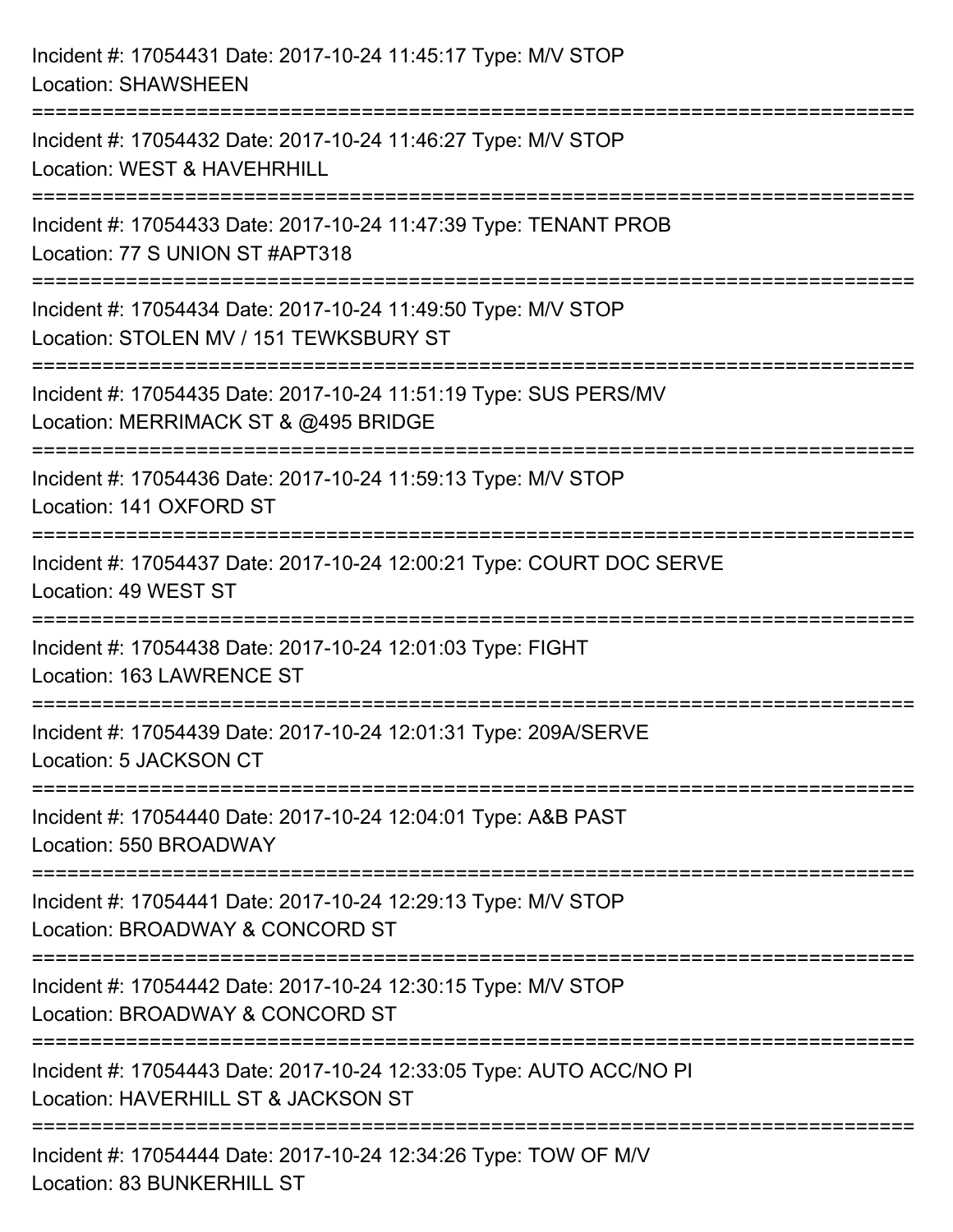| Incident #: 17054431 Date: 2017-10-24 11:45:17 Type: M/V STOP<br><b>Location: SHAWSHEEN</b>                                                       |
|---------------------------------------------------------------------------------------------------------------------------------------------------|
| Incident #: 17054432 Date: 2017-10-24 11:46:27 Type: M/V STOP<br>Location: WEST & HAVEHRHILL                                                      |
| Incident #: 17054433 Date: 2017-10-24 11:47:39 Type: TENANT PROB<br>Location: 77 S UNION ST #APT318<br>:==================================        |
| Incident #: 17054434 Date: 2017-10-24 11:49:50 Type: M/V STOP<br>Location: STOLEN MV / 151 TEWKSBURY ST                                           |
| Incident #: 17054435 Date: 2017-10-24 11:51:19 Type: SUS PERS/MV<br>Location: MERRIMACK ST & @495 BRIDGE<br>:==================================== |
| Incident #: 17054436 Date: 2017-10-24 11:59:13 Type: M/V STOP<br>Location: 141 OXFORD ST                                                          |
| Incident #: 17054437 Date: 2017-10-24 12:00:21 Type: COURT DOC SERVE<br>Location: 49 WEST ST                                                      |
| Incident #: 17054438 Date: 2017-10-24 12:01:03 Type: FIGHT<br>Location: 163 LAWRENCE ST                                                           |
| Incident #: 17054439 Date: 2017-10-24 12:01:31 Type: 209A/SERVE<br>Location: 5 JACKSON CT                                                         |
| Incident #: 17054440 Date: 2017-10-24 12:04:01 Type: A&B PAST<br>Location: 550 BROADWAY<br>:===============================                       |
| Incident #: 17054441 Date: 2017-10-24 12:29:13 Type: M/V STOP<br>Location: BROADWAY & CONCORD ST                                                  |
| Incident #: 17054442 Date: 2017-10-24 12:30:15 Type: M/V STOP<br>Location: BROADWAY & CONCORD ST                                                  |
| Incident #: 17054443 Date: 2017-10-24 12:33:05 Type: AUTO ACC/NO PI<br>Location: HAVERHILL ST & JACKSON ST                                        |
| Incident #: 17054444 Date: 2017-10-24 12:34:26 Type: TOW OF M/V<br>Location: 83 BUNKERHILL ST                                                     |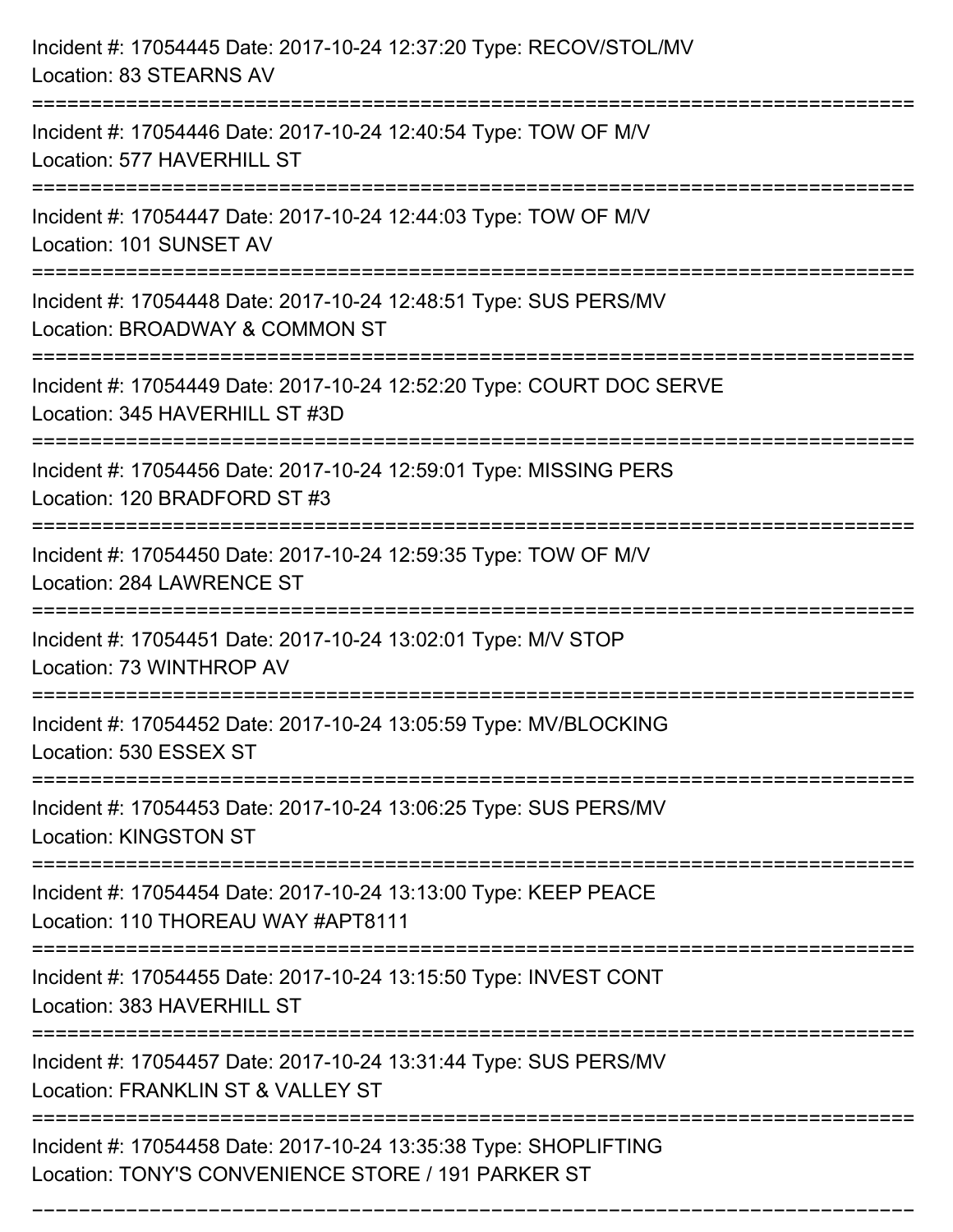| Incident #: 17054445 Date: 2017-10-24 12:37:20 Type: RECOV/STOL/MV<br>Location: 83 STEARNS AV                                                                         |
|-----------------------------------------------------------------------------------------------------------------------------------------------------------------------|
| ===========================<br>Incident #: 17054446 Date: 2017-10-24 12:40:54 Type: TOW OF M/V<br>Location: 577 HAVERHILL ST                                          |
| Incident #: 17054447 Date: 2017-10-24 12:44:03 Type: TOW OF M/V<br>Location: 101 SUNSET AV<br>==================================<br>================================= |
| Incident #: 17054448 Date: 2017-10-24 12:48:51 Type: SUS PERS/MV<br>Location: BROADWAY & COMMON ST<br>===================                                             |
| Incident #: 17054449 Date: 2017-10-24 12:52:20 Type: COURT DOC SERVE<br>Location: 345 HAVERHILL ST #3D<br>-------------------------------                             |
| Incident #: 17054456 Date: 2017-10-24 12:59:01 Type: MISSING PERS<br>Location: 120 BRADFORD ST #3                                                                     |
| Incident #: 17054450 Date: 2017-10-24 12:59:35 Type: TOW OF M/V<br>Location: 284 LAWRENCE ST                                                                          |
| Incident #: 17054451 Date: 2017-10-24 13:02:01 Type: M/V STOP<br>Location: 73 WINTHROP AV                                                                             |
| Incident #: 17054452 Date: 2017-10-24 13:05:59 Type: MV/BLOCKING<br>Location: 530 ESSEX ST                                                                            |
| Incident #: 17054453 Date: 2017-10-24 13:06:25 Type: SUS PERS/MV<br><b>Location: KINGSTON ST</b>                                                                      |
| Incident #: 17054454 Date: 2017-10-24 13:13:00 Type: KEEP PEACE<br>Location: 110 THOREAU WAY #APT8111                                                                 |
| Incident #: 17054455 Date: 2017-10-24 13:15:50 Type: INVEST CONT<br>Location: 383 HAVERHILL ST                                                                        |
| Incident #: 17054457 Date: 2017-10-24 13:31:44 Type: SUS PERS/MV<br>Location: FRANKLIN ST & VALLEY ST                                                                 |
| Incident #: 17054458 Date: 2017-10-24 13:35:38 Type: SHOPLIFTING<br>Location: TONY'S CONVENIENCE STORE / 191 PARKER ST                                                |

===========================================================================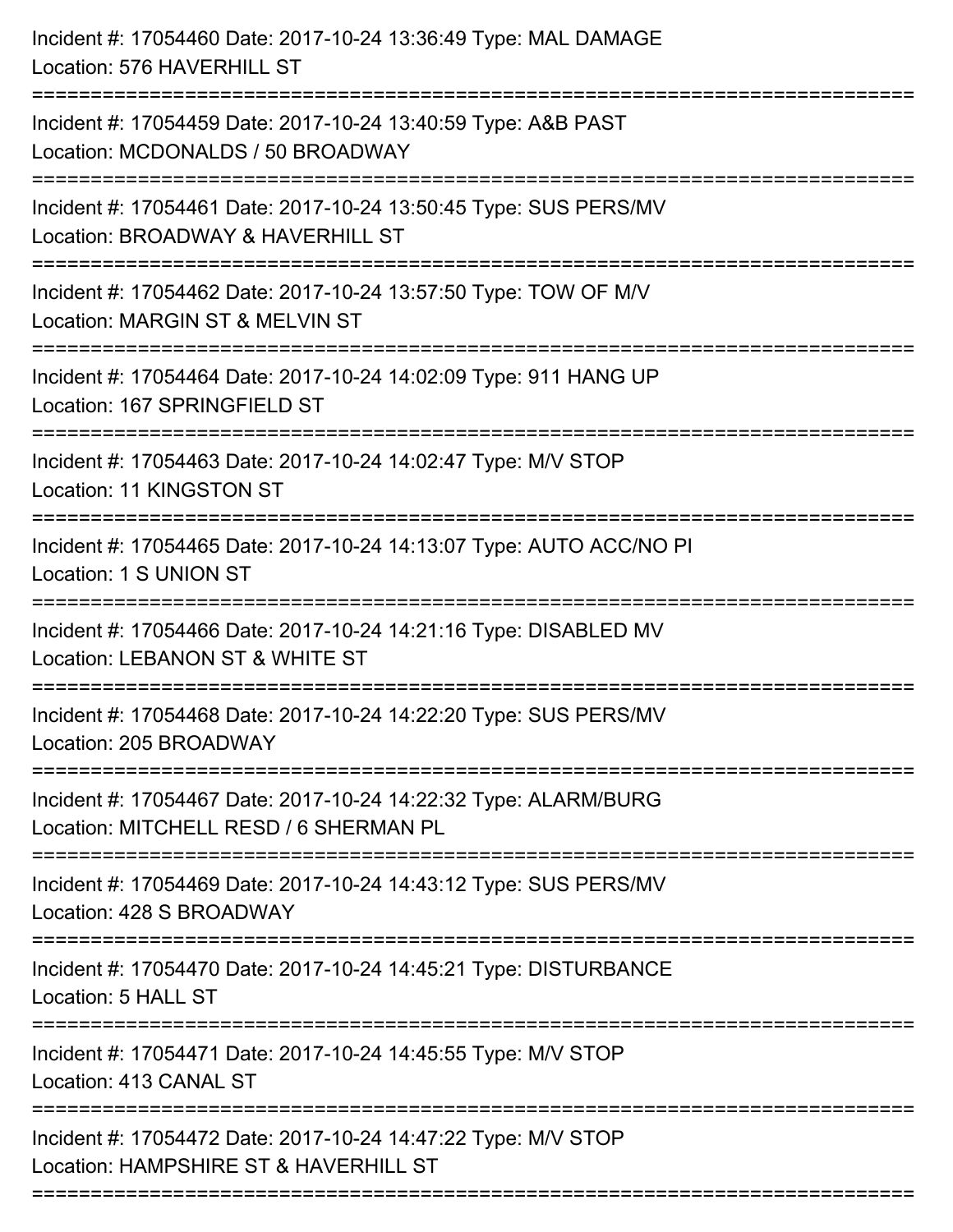| Incident #: 17054460 Date: 2017-10-24 13:36:49 Type: MAL DAMAGE<br>Location: 576 HAVERHILL ST                                       |
|-------------------------------------------------------------------------------------------------------------------------------------|
| Incident #: 17054459 Date: 2017-10-24 13:40:59 Type: A&B PAST<br>Location: MCDONALDS / 50 BROADWAY                                  |
| Incident #: 17054461 Date: 2017-10-24 13:50:45 Type: SUS PERS/MV<br>Location: BROADWAY & HAVERHILL ST                               |
| Incident #: 17054462 Date: 2017-10-24 13:57:50 Type: TOW OF M/V<br>Location: MARGIN ST & MELVIN ST                                  |
| Incident #: 17054464 Date: 2017-10-24 14:02:09 Type: 911 HANG UP<br>Location: 167 SPRINGFIELD ST<br>=============================== |
| Incident #: 17054463 Date: 2017-10-24 14:02:47 Type: M/V STOP<br>Location: 11 KINGSTON ST                                           |
| Incident #: 17054465 Date: 2017-10-24 14:13:07 Type: AUTO ACC/NO PI<br>Location: 1 S UNION ST<br>=============================      |
| Incident #: 17054466 Date: 2017-10-24 14:21:16 Type: DISABLED MV<br>Location: LEBANON ST & WHITE ST                                 |
| Incident #: 17054468 Date: 2017-10-24 14:22:20 Type: SUS PERS/MV<br>Location: 205 BROADWAY                                          |
| Incident #: 17054467 Date: 2017-10-24 14:22:32 Type: ALARM/BURG<br>Location: MITCHELL RESD / 6 SHERMAN PL                           |
| Incident #: 17054469 Date: 2017-10-24 14:43:12 Type: SUS PERS/MV<br>Location: 428 S BROADWAY                                        |
| Incident #: 17054470 Date: 2017-10-24 14:45:21 Type: DISTURBANCE<br>Location: 5 HALL ST                                             |
| Incident #: 17054471 Date: 2017-10-24 14:45:55 Type: M/V STOP<br>Location: 413 CANAL ST                                             |
| Incident #: 17054472 Date: 2017-10-24 14:47:22 Type: M/V STOP<br>Location: HAMPSHIRE ST & HAVERHILL ST                              |
|                                                                                                                                     |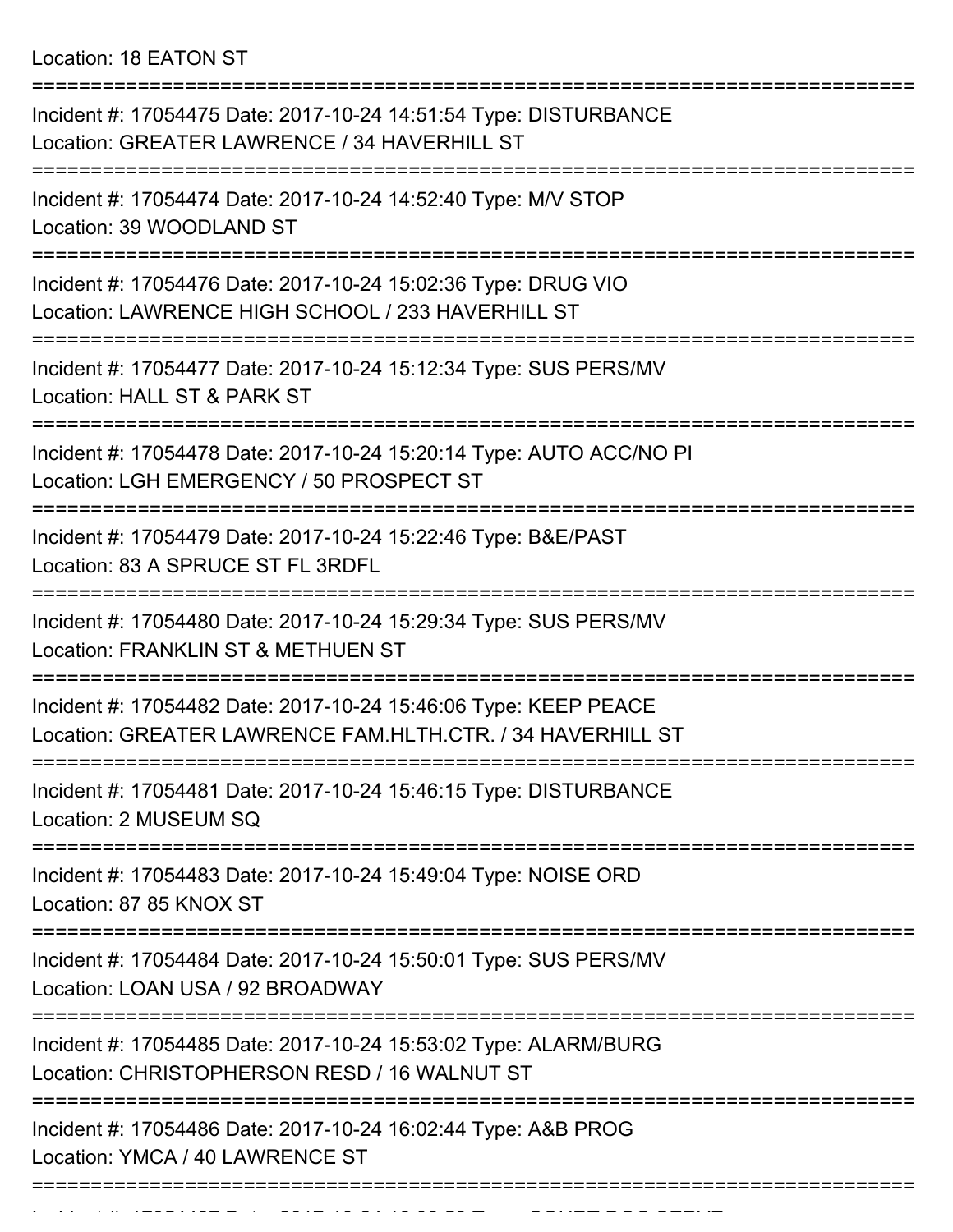Location: 18 EATON ST

| Incident #: 17054475 Date: 2017-10-24 14:51:54 Type: DISTURBANCE<br>Location: GREATER LAWRENCE / 34 HAVERHILL ST                                           |
|------------------------------------------------------------------------------------------------------------------------------------------------------------|
| Incident #: 17054474 Date: 2017-10-24 14:52:40 Type: M/V STOP<br>Location: 39 WOODLAND ST                                                                  |
| Incident #: 17054476 Date: 2017-10-24 15:02:36 Type: DRUG VIO<br>Location: LAWRENCE HIGH SCHOOL / 233 HAVERHILL ST                                         |
| Incident #: 17054477 Date: 2017-10-24 15:12:34 Type: SUS PERS/MV<br>Location: HALL ST & PARK ST                                                            |
| Incident #: 17054478 Date: 2017-10-24 15:20:14 Type: AUTO ACC/NO PI<br>Location: LGH EMERGENCY / 50 PROSPECT ST                                            |
| Incident #: 17054479 Date: 2017-10-24 15:22:46 Type: B&E/PAST<br>Location: 83 A SPRUCE ST FL 3RDFL                                                         |
| Incident #: 17054480 Date: 2017-10-24 15:29:34 Type: SUS PERS/MV<br>Location: FRANKLIN ST & METHUEN ST                                                     |
| Incident #: 17054482 Date: 2017-10-24 15:46:06 Type: KEEP PEACE<br>Location: GREATER LAWRENCE FAM.HLTH.CTR. / 34 HAVERHILL ST                              |
| Incident #: 17054481 Date: 2017-10-24 15:46:15 Type: DISTURBANCE<br>Location: 2 MUSEUM SQ                                                                  |
| :=====================<br>===================================<br>Incident #: 17054483 Date: 2017-10-24 15:49:04 Type: NOISE ORD<br>Location: 87 85 KNOX ST |
| Incident #: 17054484 Date: 2017-10-24 15:50:01 Type: SUS PERS/MV<br>Location: LOAN USA / 92 BROADWAY                                                       |
| Incident #: 17054485 Date: 2017-10-24 15:53:02 Type: ALARM/BURG<br>Location: CHRISTOPHERSON RESD / 16 WALNUT ST                                            |
| Incident #: 17054486 Date: 2017-10-24 16:02:44 Type: A&B PROG<br>Location: YMCA / 40 LAWRENCE ST                                                           |
|                                                                                                                                                            |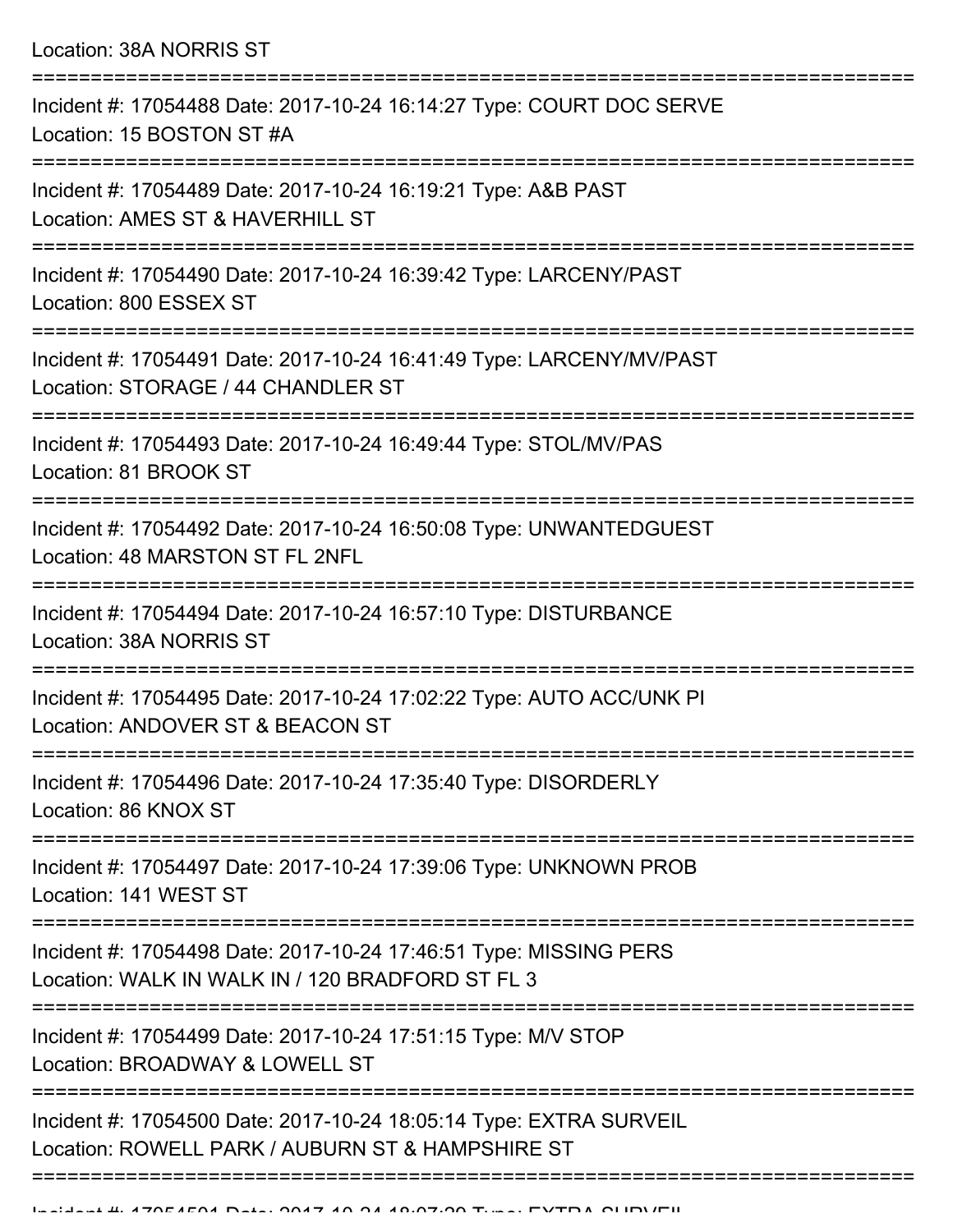Location: 38A NORRIS ST

| Incident #: 17054488 Date: 2017-10-24 16:14:27 Type: COURT DOC SERVE<br>Location: 15 BOSTON ST #A                      |
|------------------------------------------------------------------------------------------------------------------------|
| Incident #: 17054489 Date: 2017-10-24 16:19:21 Type: A&B PAST<br>Location: AMES ST & HAVERHILL ST                      |
| Incident #: 17054490 Date: 2017-10-24 16:39:42 Type: LARCENY/PAST<br>Location: 800 ESSEX ST                            |
| Incident #: 17054491 Date: 2017-10-24 16:41:49 Type: LARCENY/MV/PAST<br>Location: STORAGE / 44 CHANDLER ST             |
| Incident #: 17054493 Date: 2017-10-24 16:49:44 Type: STOL/MV/PAS<br>Location: 81 BROOK ST                              |
| Incident #: 17054492 Date: 2017-10-24 16:50:08 Type: UNWANTEDGUEST<br>Location: 48 MARSTON ST FL 2NFL                  |
| Incident #: 17054494 Date: 2017-10-24 16:57:10 Type: DISTURBANCE<br>Location: 38A NORRIS ST                            |
| Incident #: 17054495 Date: 2017-10-24 17:02:22 Type: AUTO ACC/UNK PI<br>Location: ANDOVER ST & BEACON ST               |
| Incident #: 17054496 Date: 2017-10-24 17:35:40 Type: DISORDERLY<br>Location: 86 KNOX ST                                |
| --------------<br>Incident #: 17054497 Date: 2017-10-24 17:39:06 Type: UNKNOWN PROB<br>Location: 141 WEST ST           |
| Incident #: 17054498 Date: 2017-10-24 17:46:51 Type: MISSING PERS<br>Location: WALK IN WALK IN / 120 BRADFORD ST FL 3  |
| Incident #: 17054499 Date: 2017-10-24 17:51:15 Type: M/V STOP<br>Location: BROADWAY & LOWELL ST                        |
| Incident #: 17054500 Date: 2017-10-24 18:05:14 Type: EXTRA SURVEIL<br>Location: ROWELL PARK / AUBURN ST & HAMPSHIRE ST |
|                                                                                                                        |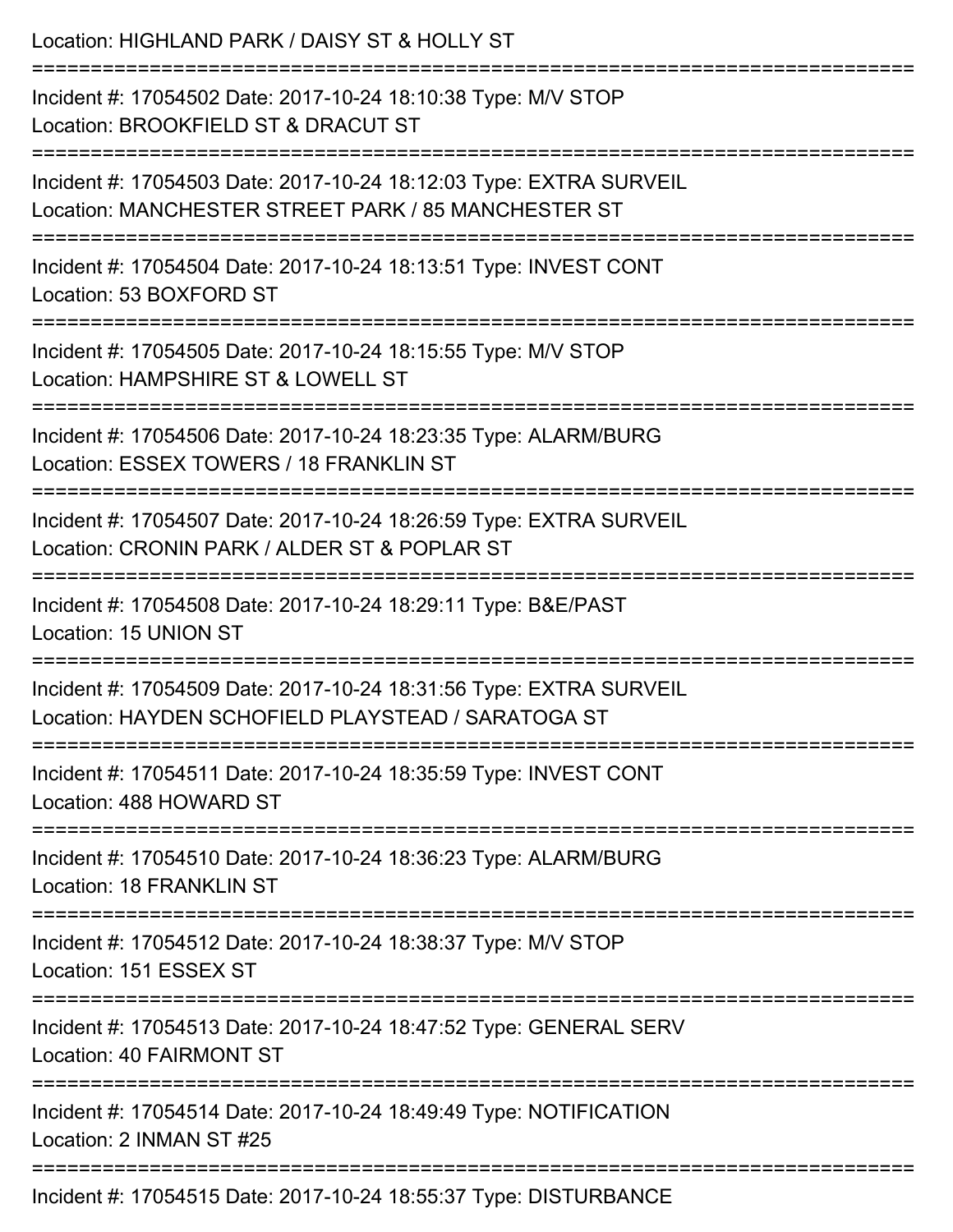| Location: HIGHLAND PARK / DAISY ST & HOLLY ST                                                                                                      |
|----------------------------------------------------------------------------------------------------------------------------------------------------|
| Incident #: 17054502 Date: 2017-10-24 18:10:38 Type: M/V STOP<br>Location: BROOKFIELD ST & DRACUT ST                                               |
| Incident #: 17054503 Date: 2017-10-24 18:12:03 Type: EXTRA SURVEIL<br>Location: MANCHESTER STREET PARK / 85 MANCHESTER ST                          |
| Incident #: 17054504 Date: 2017-10-24 18:13:51 Type: INVEST CONT<br>Location: 53 BOXFORD ST                                                        |
| Incident #: 17054505 Date: 2017-10-24 18:15:55 Type: M/V STOP<br>Location: HAMPSHIRE ST & LOWELL ST                                                |
| Incident #: 17054506 Date: 2017-10-24 18:23:35 Type: ALARM/BURG<br>Location: ESSEX TOWERS / 18 FRANKLIN ST<br>;=================================== |
| Incident #: 17054507 Date: 2017-10-24 18:26:59 Type: EXTRA SURVEIL<br>Location: CRONIN PARK / ALDER ST & POPLAR ST                                 |
| Incident #: 17054508 Date: 2017-10-24 18:29:11 Type: B&E/PAST<br>Location: 15 UNION ST                                                             |
| Incident #: 17054509 Date: 2017-10-24 18:31:56 Type: EXTRA SURVEIL<br>Location: HAYDEN SCHOFIELD PLAYSTEAD / SARATOGA ST                           |
| Incident #: 17054511 Date: 2017-10-24 18:35:59 Type: INVEST CONT<br>Location: 488 HOWARD ST                                                        |
| Incident #: 17054510 Date: 2017-10-24 18:36:23 Type: ALARM/BURG<br>Location: 18 FRANKLIN ST                                                        |
| Incident #: 17054512 Date: 2017-10-24 18:38:37 Type: M/V STOP<br>Location: 151 ESSEX ST                                                            |
| Incident #: 17054513 Date: 2017-10-24 18:47:52 Type: GENERAL SERV<br><b>Location: 40 FAIRMONT ST</b>                                               |
| Incident #: 17054514 Date: 2017-10-24 18:49:49 Type: NOTIFICATION<br>Location: 2 INMAN ST #25                                                      |
| Incident #: 17054515 Date: 2017-10-24 18:55:37 Type: DISTURBANCE                                                                                   |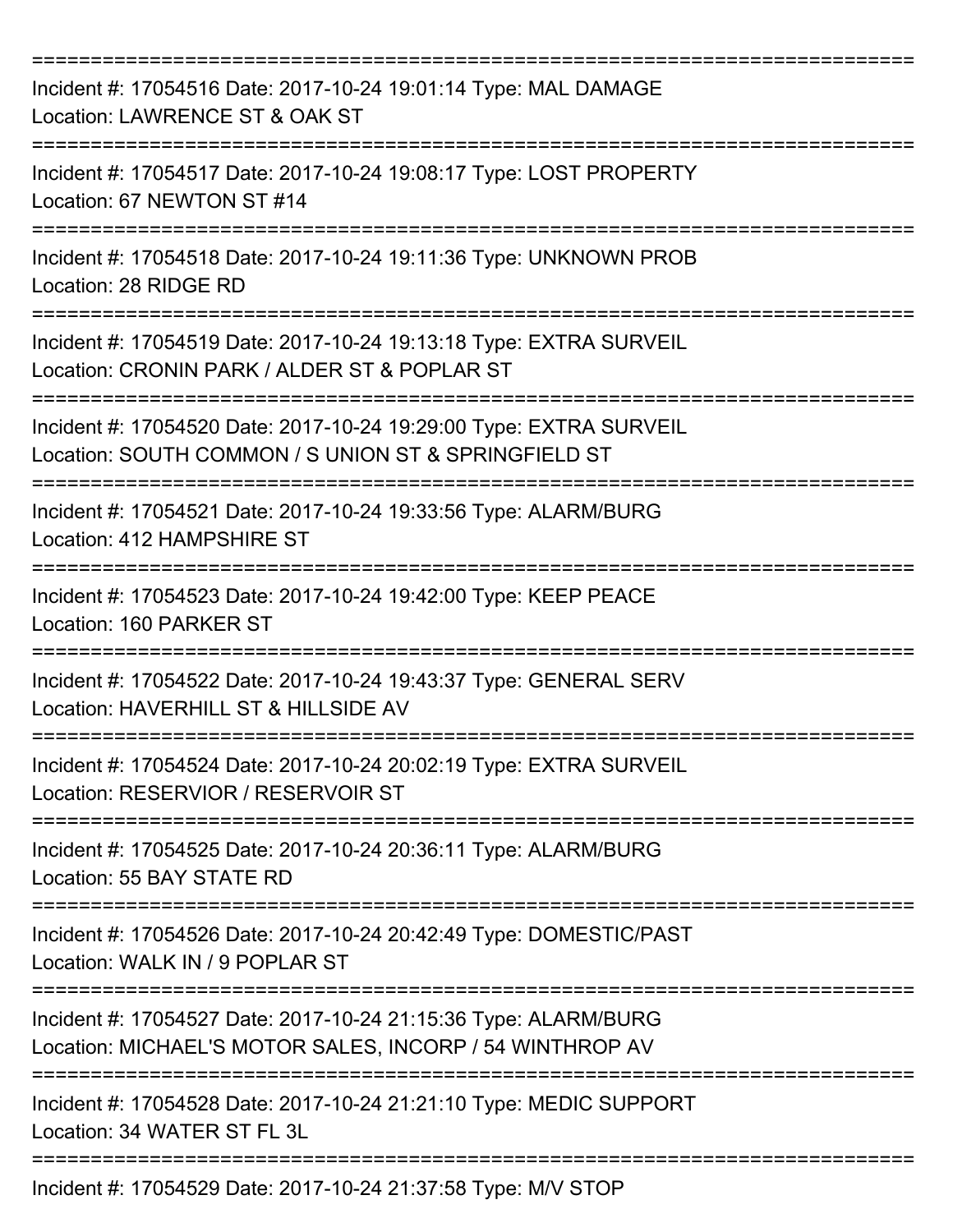| Incident #: 17054516 Date: 2017-10-24 19:01:14 Type: MAL DAMAGE<br>Location: LAWRENCE ST & OAK ST                                                           |
|-------------------------------------------------------------------------------------------------------------------------------------------------------------|
| Incident #: 17054517 Date: 2017-10-24 19:08:17 Type: LOST PROPERTY<br>Location: 67 NEWTON ST #14                                                            |
| Incident #: 17054518 Date: 2017-10-24 19:11:36 Type: UNKNOWN PROB<br>Location: 28 RIDGE RD                                                                  |
| Incident #: 17054519 Date: 2017-10-24 19:13:18 Type: EXTRA SURVEIL<br>Location: CRONIN PARK / ALDER ST & POPLAR ST                                          |
| Incident #: 17054520 Date: 2017-10-24 19:29:00 Type: EXTRA SURVEIL<br>Location: SOUTH COMMON / S UNION ST & SPRINGFIELD ST<br>============================= |
| Incident #: 17054521 Date: 2017-10-24 19:33:56 Type: ALARM/BURG<br>Location: 412 HAMPSHIRE ST                                                               |
| Incident #: 17054523 Date: 2017-10-24 19:42:00 Type: KEEP PEACE<br>Location: 160 PARKER ST                                                                  |
| Incident #: 17054522 Date: 2017-10-24 19:43:37 Type: GENERAL SERV<br>Location: HAVERHILL ST & HILLSIDE AV                                                   |
| Incident #: 17054524 Date: 2017-10-24 20:02:19 Type: EXTRA SURVEIL<br>Location: RESERVIOR / RESERVOIR ST                                                    |
| Incident #: 17054525 Date: 2017-10-24 20:36:11 Type: ALARM/BURG<br>Location: 55 BAY STATE RD                                                                |
| Incident #: 17054526 Date: 2017-10-24 20:42:49 Type: DOMESTIC/PAST<br>Location: WALK IN / 9 POPLAR ST                                                       |
| Incident #: 17054527 Date: 2017-10-24 21:15:36 Type: ALARM/BURG<br>Location: MICHAEL'S MOTOR SALES, INCORP / 54 WINTHROP AV                                 |
| Incident #: 17054528 Date: 2017-10-24 21:21:10 Type: MEDIC SUPPORT<br>Location: 34 WATER ST FL 3L                                                           |
| Incident #: 17054529 Date: 2017-10-24 21:37:58 Type: M/V STOP                                                                                               |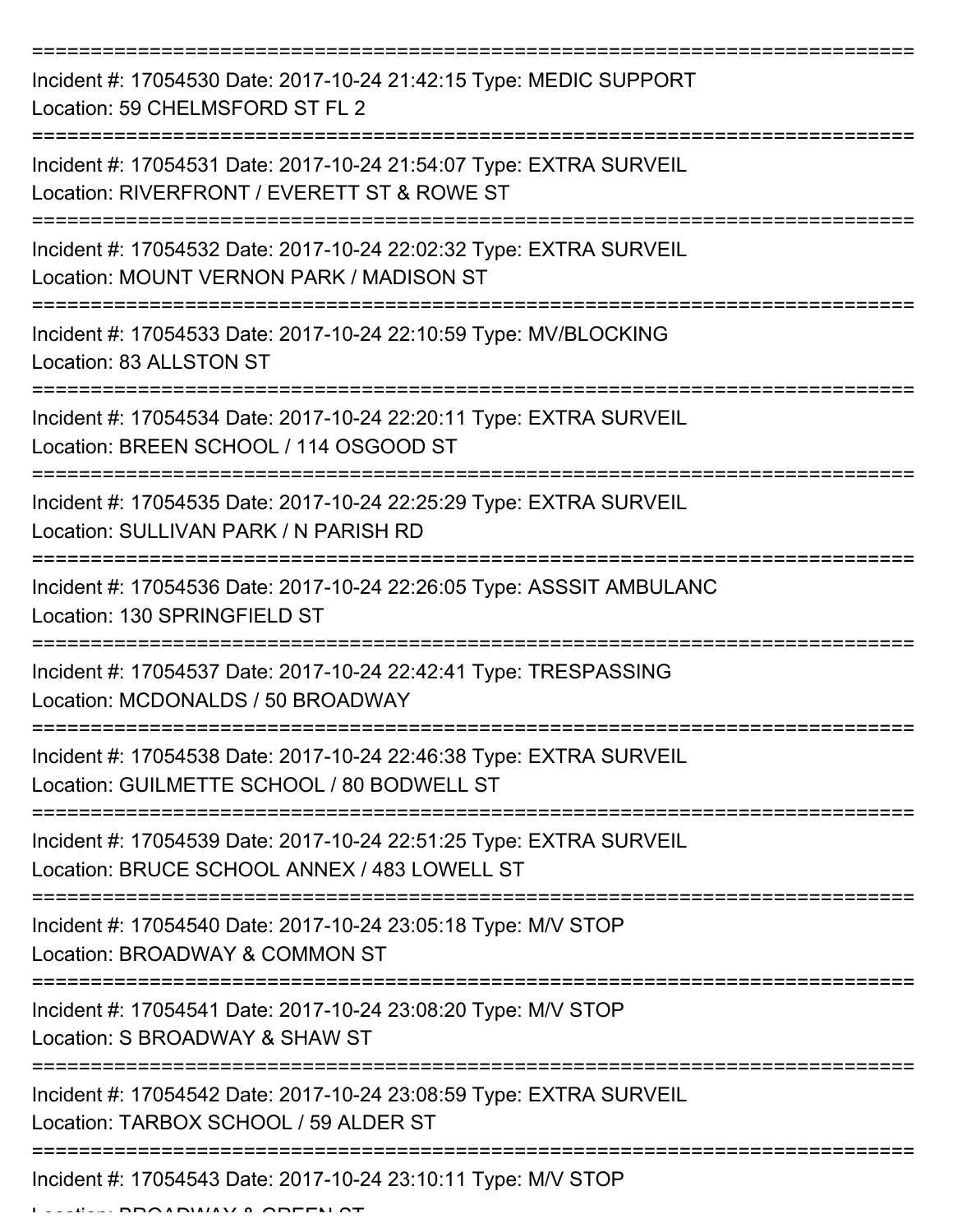| Incident #: 17054530 Date: 2017-10-24 21:42:15 Type: MEDIC SUPPORT<br>Location: 59 CHELMSFORD ST FL 2                               |
|-------------------------------------------------------------------------------------------------------------------------------------|
| Incident #: 17054531 Date: 2017-10-24 21:54:07 Type: EXTRA SURVEIL<br>Location: RIVERFRONT / EVERETT ST & ROWE ST                   |
| Incident #: 17054532 Date: 2017-10-24 22:02:32 Type: EXTRA SURVEIL<br>Location: MOUNT VERNON PARK / MADISON ST<br>================= |
| Incident #: 17054533 Date: 2017-10-24 22:10:59 Type: MV/BLOCKING<br>Location: 83 ALLSTON ST                                         |
| Incident #: 17054534 Date: 2017-10-24 22:20:11 Type: EXTRA SURVEIL<br>Location: BREEN SCHOOL / 114 OSGOOD ST                        |
| Incident #: 17054535 Date: 2017-10-24 22:25:29 Type: EXTRA SURVEIL<br>Location: SULLIVAN PARK / N PARISH RD                         |
| Incident #: 17054536 Date: 2017-10-24 22:26:05 Type: ASSSIT AMBULANC<br>Location: 130 SPRINGFIELD ST                                |
| Incident #: 17054537 Date: 2017-10-24 22:42:41 Type: TRESPASSING<br>Location: MCDONALDS / 50 BROADWAY                               |
| Incident #: 17054538 Date: 2017-10-24 22:46:38 Type: EXTRA SURVEIL<br>Location: GUILMETTE SCHOOL / 80 BODWELL ST                    |
| Incident #: 17054539 Date: 2017-10-24 22:51:25 Type: EXTRA SURVEIL<br>Location: BRUCE SCHOOL ANNEX / 483 LOWELL ST                  |
| Incident #: 17054540 Date: 2017-10-24 23:05:18 Type: M/V STOP<br>Location: BROADWAY & COMMON ST                                     |
| Incident #: 17054541 Date: 2017-10-24 23:08:20 Type: M/V STOP<br>Location: S BROADWAY & SHAW ST                                     |
| Incident #: 17054542 Date: 2017-10-24 23:08:59 Type: EXTRA SURVEIL<br>Location: TARBOX SCHOOL / 59 ALDER ST                         |
| Incident #: 17054543 Date: 2017-10-24 23:10:11 Type: M/V STOP                                                                       |